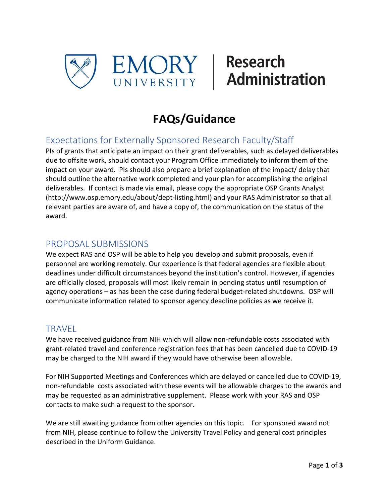



# **FAQs/Guidance**

## Expectations for Externally Sponsored Research Faculty/Staff

PIs of grants that anticipate an impact on their grant deliverables, such as delayed deliverables due to offsite work, should contact your Program Office immediately to inform them of the impact on your award. PIs should also prepare a brief explanation of the impact/ delay that should outline the alternative work completed and your plan for accomplishing the original deliverables. If contact is made via email, please copy the appropriate OSP Grants Analyst [\(http://www.osp.emory.edu/about/dept-listing.html\)](http://www.osp.emory.edu/about/dept-listing.html) and your RAS Administrator so that all relevant parties are aware of, and have a copy of, the communication on the status of the award.

#### PROPOSAL SUBMISSIONS

We expect RAS and OSP will be able to help you develop and submit proposals, even if personnel are working remotely. Our experience is that federal agencies are flexible about deadlines under difficult circumstances beyond the institution's control. However, if agencies are officially closed, proposals will most likely remain in pending status until resumption of agency operations – as has been the case during federal budget-related shutdowns. OSP will communicate information related to sponsor agency deadline policies as we receive it.

#### **TRAVEL**

We have received guidance from NIH which will allow non-refundable costs associated with grant-related travel and conference registration fees that has been cancelled due to COVID-19 may be charged to the NIH award if they would have otherwise been allowable.

For NIH Supported Meetings and Conferences which are delayed or cancelled due to COVID-19, non-refundable costs associated with these events will be allowable charges to the awards and may be requested as an administrative supplement. Please work with your RAS and OSP contacts to make such a request to the sponsor.

We are still awaiting guidance from other agencies on this topic. For sponsored award not from NIH, please continue to follow the [University Travel Policy](https://finance.emory.edu/home/procurement/travel/expense-policy.html) and general cost principles described in the Uniform Guidance.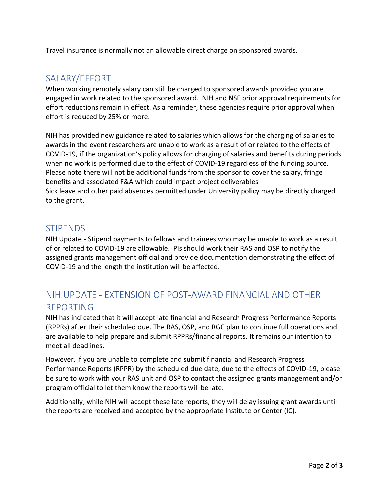Travel insurance is normally not an allowable direct charge on sponsored awards.

#### SALARY/EFFORT

When working remotely salary can still be charged to sponsored awards provided you are engaged in work related to the sponsored award. NIH and NSF prior approval requirements for effort reductions remain in effect. As a reminder, these agencies require prior approval when effort is reduced by 25% or more.

NIH has provided new guidance related to salaries which allows for the charging of salaries to awards in the event researchers are unable to work as a result of or related to the effects of COVID-19, if the organization's policy allows for charging of salaries and benefits during periods when no work is performed due to the effect of COVID-19 regardless of the funding source. Please note there will not be additional funds from the sponsor to cover the salary, fringe benefits and associated F&A which could impact project deliverables Sick leave and other paid absences permitted under University policy may be directly charged to the grant.

#### **STIPENDS**

NIH Update - Stipend payments to fellows and trainees who may be unable to work as a result of or related to COVID-19 are allowable. PIs should work their RAS and OSP to notify the assigned grants management official and provide documentation demonstrating the effect of COVID-19 and the length the institution will be affected.

### NIH UPDATE - EXTENSION OF POST-AWARD FINANCIAL AND OTHER REPORTING

NIH has indicated that it will accept late financial and Research Progress Performance Reports (RPPRs) after their scheduled due. The RAS, OSP, and RGC plan to continue full operations and are available to help prepare and submit RPPRs/financial reports. It remains our intention to meet all deadlines.

However, if you are unable to complete and submit financial and Research Progress Performance Reports (RPPR) by the scheduled due date, due to the effects of COVID-19, please be sure to work with your RAS unit and OSP to contact the assigned grants management and/or program official to let them know the reports will be late.

Additionally, while NIH will accept these late reports, they will delay issuing grant awards until the reports are received and accepted by the appropriate Institute or Center (IC).